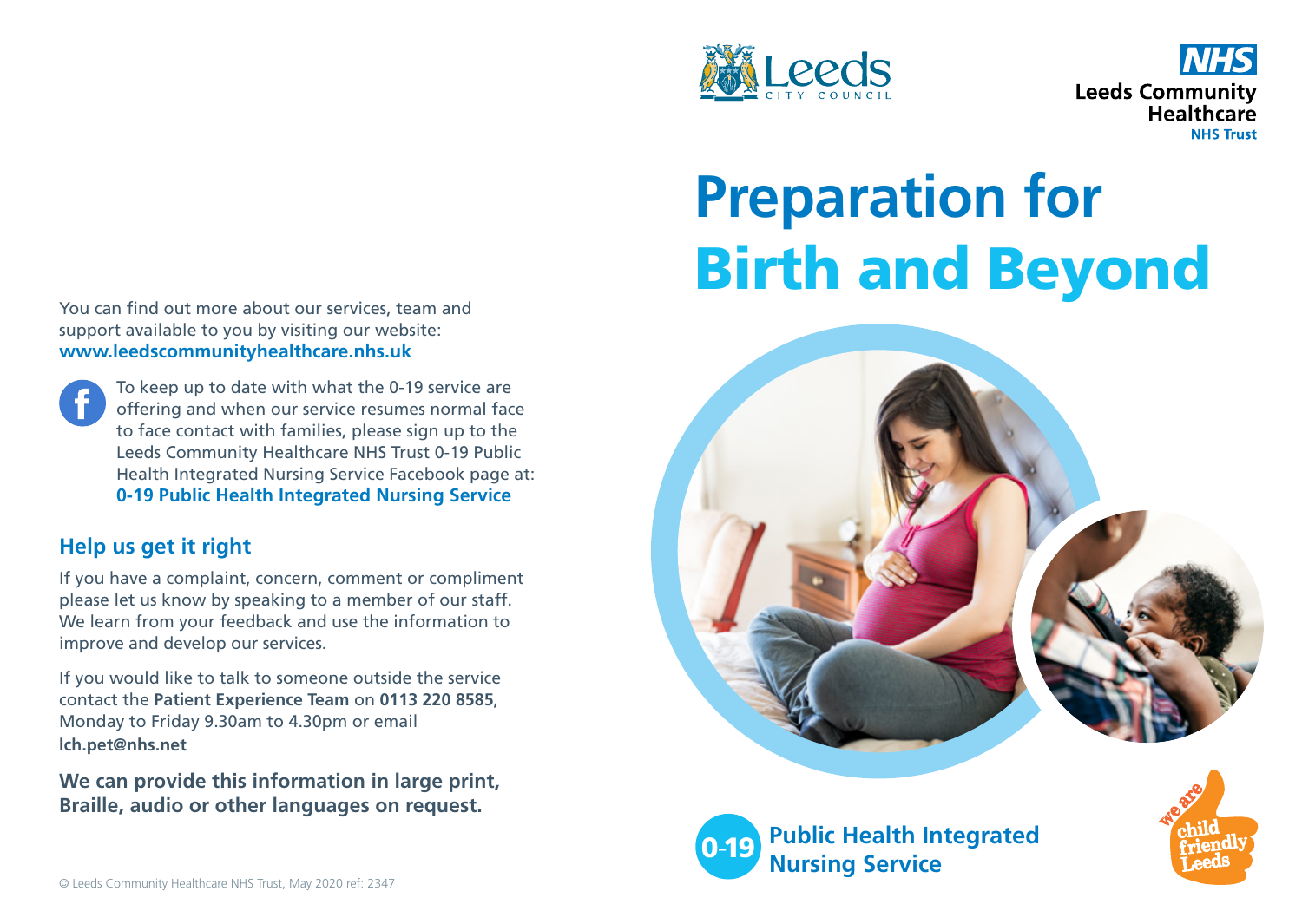



# **Preparation for** Birth and Beyond





**Public Health Integrated Nursing Service** 

You can find out more about our services, team and support available to you by visiting our website: **www.leedscommunityhealthcare.nhs.uk**

To keep up to date with what the 0-19 service are offering and when our service resumes normal face to face contact with families, please sign up to the Leeds Community Healthcare NHS Trust 0-19 Public Health Integrated Nursing Service Facebook page at: **0-19 Public Health Integrated Nursing Service**

## **Help us get it right**

If you have a complaint, concern, comment or compliment please let us know by speaking to a member of our staff. We learn from your feedback and use the information to improve and develop our services.

If you would like to talk to someone outside the service contact the **Patient Experience Team** on **0113 220 8585**, Monday to Friday 9.30am to 4.30pm or email **lch.pet@nhs.net**

**We can provide this information in large print, Braille, audio or other languages on request.**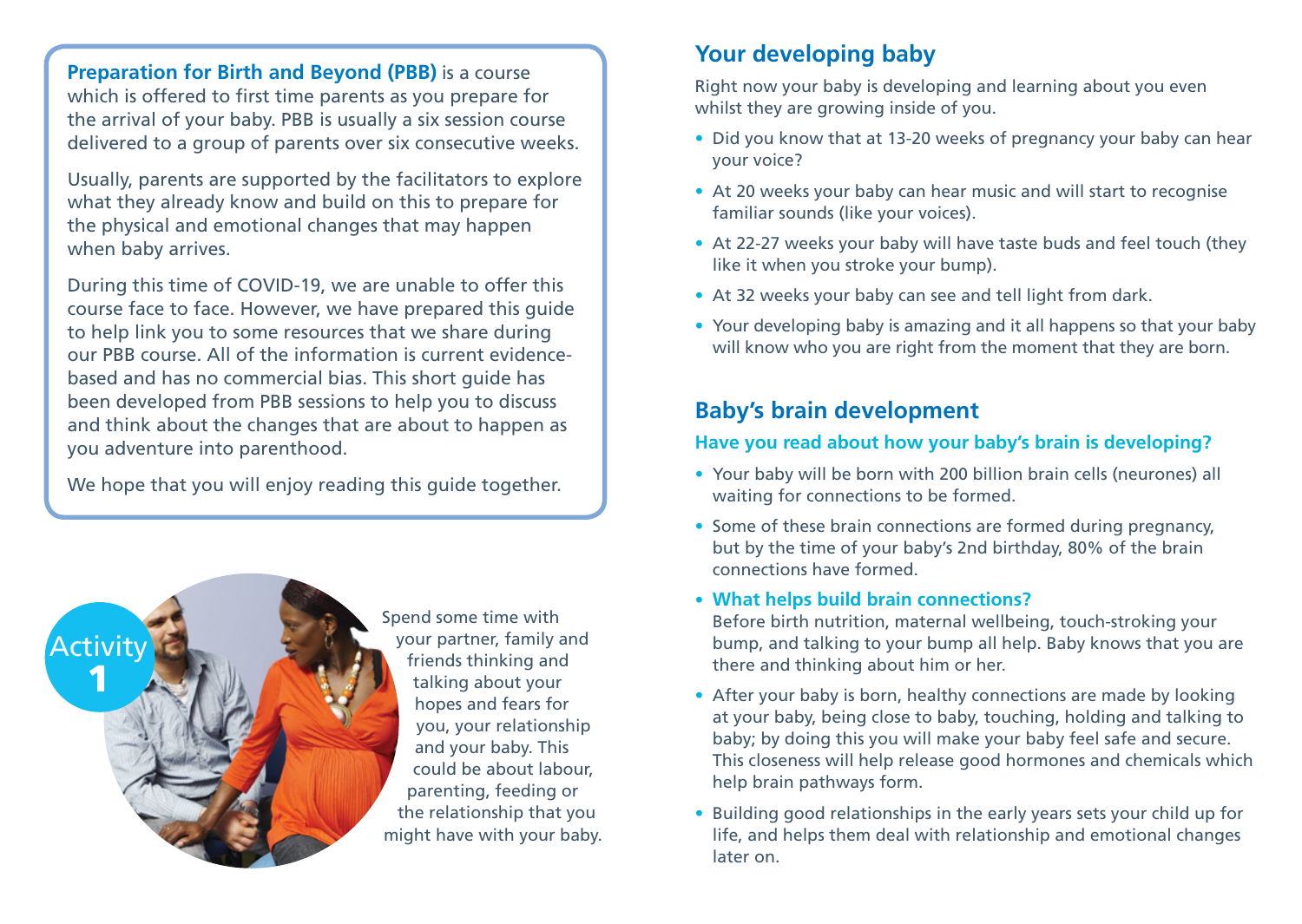**Preparation for Birth and Beyond (PBB)** is a course which is offered to first time parents as you prepare for the arrival of your baby. PBB is usually a six session course delivered to a group of parents over six consecutive weeks.

Usually, parents are supported by the facilitators to explore what they already know and build on this to prepare for the physical and emotional changes that may happen when baby arrives.

During this time of COVID-19, we are unable to offer this course face to face. However, we have prepared this guide to help link you to some resources that we share during our PBB course. All of the information is current evidencebased and has no commercial bias. This short guide has been developed from PBB sessions to help you to discuss and think about the changes that are about to happen as you adventure into parenthood.

We hope that you will enjoy reading this quide together.



Spend some time with your partner, family and friends thinking and talking about your hopes and fears for you, your relationship and your baby. This could be about labour, parenting, feeding or the relationship that you might have with your baby.

#### **Your developing baby**

Right now your baby is developing and learning about you even whilst they are growing inside of you.

- Did you know that at 13-20 weeks of pregnancy your baby can hear your voice?
- At 20 weeks your baby can hear music and will start to recognise familiar sounds (like your voices).
- At 22-27 weeks your baby will have taste buds and feel touch (they like it when you stroke your bump).
- At 32 weeks your baby can see and tell light from dark.
- Your developing baby is amazing and it all happens so that your baby will know who you are right from the moment that they are born.

## **Baby's brain development**

#### **Have you read about how your baby's brain is developing?**

- Your baby will be born with 200 billion brain cells (neurones) all waiting for connections to be formed.
- Some of these brain connections are formed during pregnancy, but by the time of your baby's 2nd birthday, 80% of the brain connections have formed.

#### • **What helps build brain connections?**

- Before birth nutrition, maternal wellbeing, touch-stroking your bump, and talking to your bump all help. Baby knows that you are there and thinking about him or her.
- After your baby is born, healthy connections are made by looking at your baby, being close to baby, touching, holding and talking to baby; by doing this you will make your baby feel safe and secure. This closeness will help release good hormones and chemicals which help brain pathways form.
- Building good relationships in the early years sets your child up for life, and helps them deal with relationship and emotional changes later on.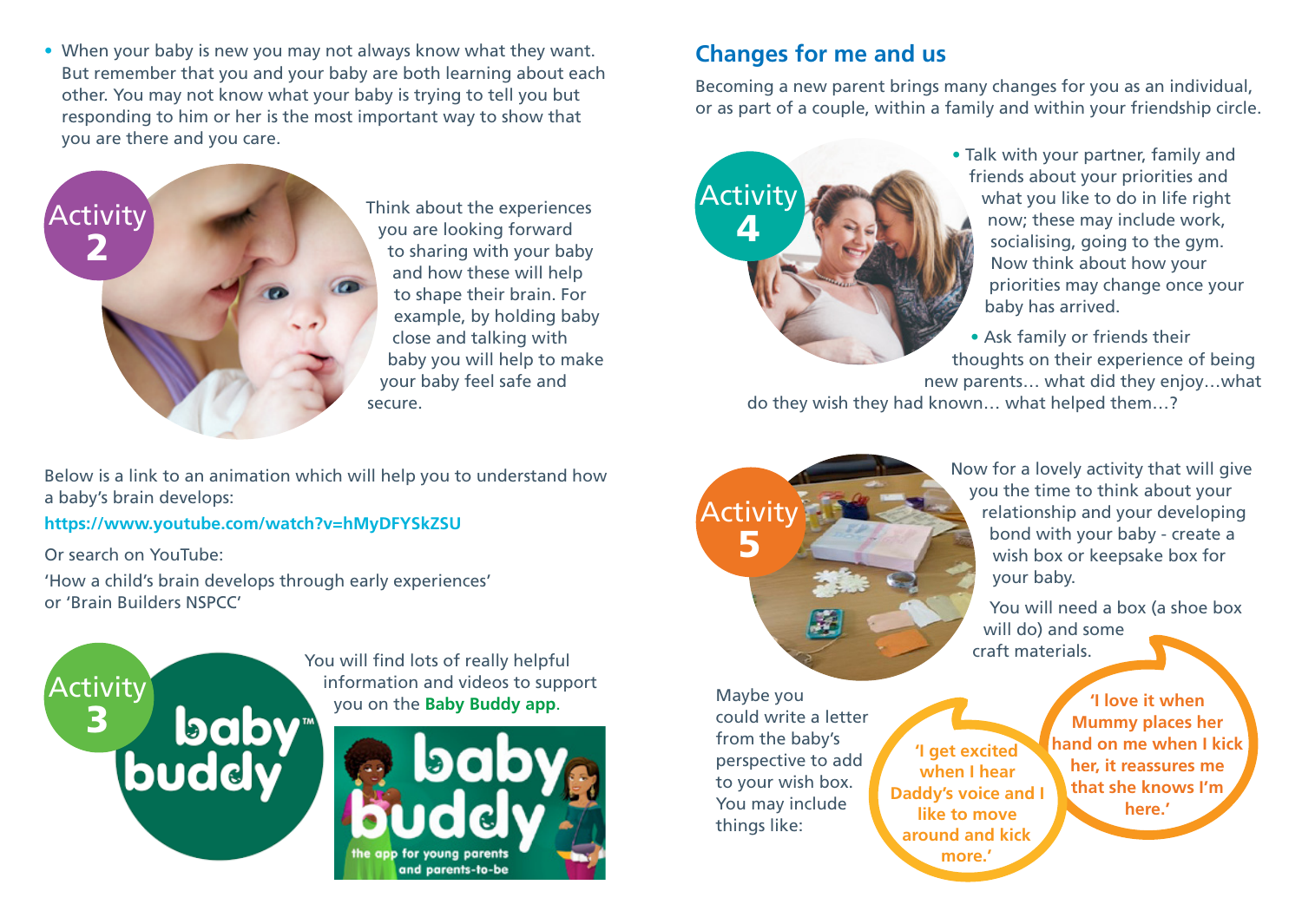• When your baby is new you may not always know what they want. But remember that you and your baby are both learning about each other. You may not know what your baby is trying to tell you but responding to him or her is the most important way to show that you are there and you care.



Think about the experiences you are looking forward to sharing with your baby and how these will help to shape their brain. For example, by holding baby close and talking with baby you will help to make your baby feel safe and secure.

Below is a link to an animation which will help you to understand how a baby's brain develops:

**https://www.youtube.com/watch?v=hMyDFYSkZSU**

Or search on YouTube:

'How a child's brain develops through early experiences' or 'Brain Builders NSPCC'



You will find lots of really helpful information and videos to support



## **Changes for me and us**

Becoming a new parent brings many changes for you as an individual, or as part of a couple, within a family and within your friendship circle.



• Talk with your partner, family and friends about your priorities and what you like to do in life right now; these may include work, socialising, going to the gym. Now think about how your priorities may change once your baby has arrived.

• Ask family or friends their thoughts on their experience of being new parents… what did they enjoy…what

do they wish they had known… what helped them…?



Maybe you could write a letter from the baby's perspective to add to your wish box. You may include things like:

**'I get excited when I hear Daddy's voice and I like to move around and kick more.'**

**'I love it when Mummy places her hand on me when I kick her, it reassures me that she knows I'm here.'**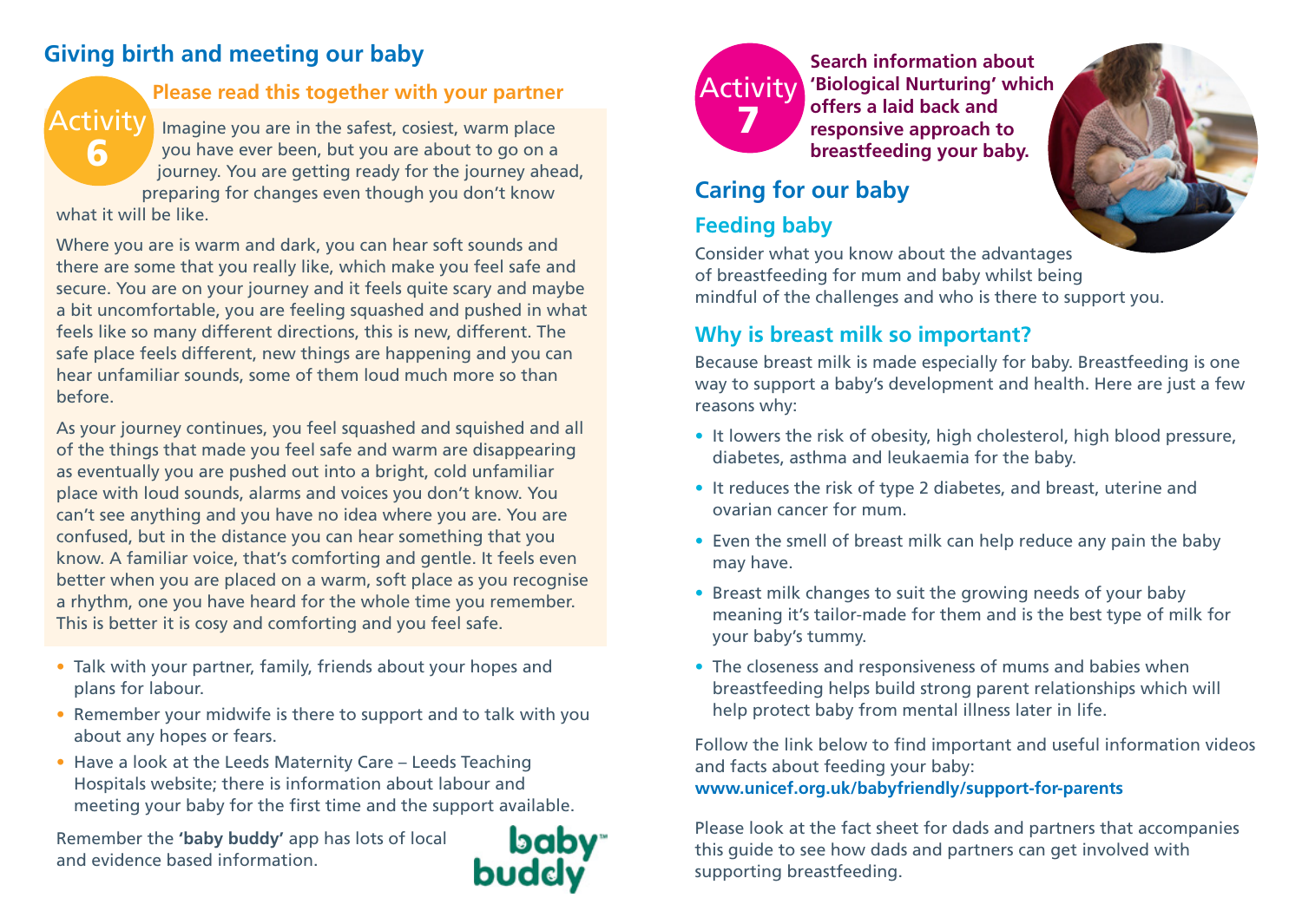## **Giving birth and meeting our baby**

#### **Please read this together with your partner**

Imagine you are in the safest, cosiest, warm place you have ever been, but you are about to go on a journey. You are getting ready for the journey ahead, preparing for changes even though you don't know what it will be like. Activity 6

Where you are is warm and dark, you can hear soft sounds and there are some that you really like, which make you feel safe and secure. You are on your journey and it feels quite scary and maybe a bit uncomfortable, you are feeling squashed and pushed in what feels like so many different directions, this is new, different. The safe place feels different, new things are happening and you can hear unfamiliar sounds, some of them loud much more so than before.

As your journey continues, you feel squashed and squished and all of the things that made you feel safe and warm are disappearing as eventually you are pushed out into a bright, cold unfamiliar place with loud sounds, alarms and voices you don't know. You can't see anything and you have no idea where you are. You are confused, but in the distance you can hear something that you know. A familiar voice, that's comforting and gentle. It feels even better when you are placed on a warm, soft place as you recognise a rhythm, one you have heard for the whole time you remember. This is better it is cosy and comforting and you feel safe.

- Talk with your partner, family, friends about your hopes and plans for labour.
- Remember your midwife is there to support and to talk with you about any hopes or fears.
- Have a look at the Leeds Maternity Care Leeds Teaching Hospitals website; there is information about labour and meeting your baby for the first time and the support available.

Remember the **'baby buddy'** app has lots of local and evidence based information.





**Search information about 'Biological Nurturing' which offers a laid back and responsive approach to breastfeeding your baby.**

# **Caring for our baby**

# **Feeding baby**

Consider what you know about the advantages of breastfeeding for mum and baby whilst being mindful of the challenges and who is there to support you.

#### **Why is breast milk so important?**

Because breast milk is made especially for baby. Breastfeeding is one way to support a baby's development and health. Here are just a few reasons why:

- It lowers the risk of obesity, high cholesterol, high blood pressure, diabetes, asthma and leukaemia for the baby.
- It reduces the risk of type 2 diabetes, and breast, uterine and ovarian cancer for mum.
- Even the smell of breast milk can help reduce any pain the baby may have.
- Breast milk changes to suit the growing needs of your baby meaning it's tailor-made for them and is the best type of milk for your baby's tummy.
- The closeness and responsiveness of mums and babies when breastfeeding helps build strong parent relationships which will help protect baby from mental illness later in life.

Follow the link below to find important and useful information videos and facts about feeding your baby: **www.unicef.org.uk/babyfriendly/support-for-parents**

Please look at the fact sheet for dads and partners that accompanies this guide to see how dads and partners can get involved with supporting breastfeeding.

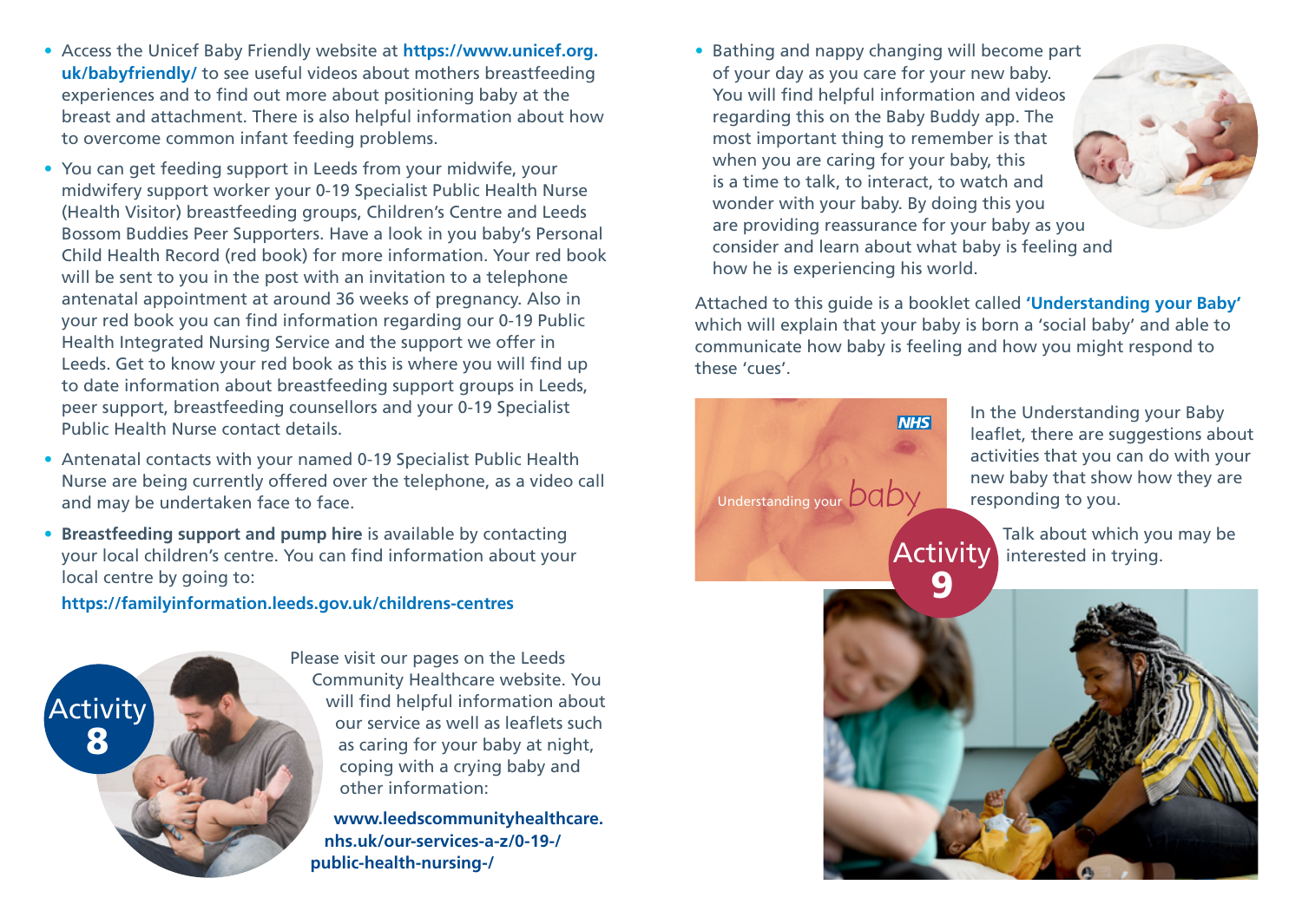- Access the Unicef Baby Friendly website at **https://www.unicef.org. uk/babyfriendly/** to see useful videos about mothers breastfeeding experiences and to find out more about positioning baby at the breast and attachment. There is also helpful information about how to overcome common infant feeding problems.
- You can get feeding support in Leeds from your midwife, your midwifery support worker your 0-19 Specialist Public Health Nurse (Health Visitor) breastfeeding groups, Children's Centre and Leeds Bossom Buddies Peer Supporters. Have a look in you baby's Personal Child Health Record (red book) for more information. Your red book will be sent to you in the post with an invitation to a telephone antenatal appointment at around 36 weeks of pregnancy. Also in your red book you can find information regarding our 0-19 Public Health Integrated Nursing Service and the support we offer in Leeds. Get to know your red book as this is where you will find up to date information about breastfeeding support groups in Leeds, peer support, breastfeeding counsellors and your 0-19 Specialist Public Health Nurse contact details.
- Antenatal contacts with your named 0-19 Specialist Public Health Nurse are being currently offered over the telephone, as a video call and may be undertaken face to face.
- **Breastfeeding support and pump hire** is available by contacting your local children's centre. You can find information about your local centre by going to:

**https://familyinformation.leeds.gov.uk/childrens-centres**



Please visit our pages on the Leeds Community Healthcare website. You will find helpful information about our service as well as leaflets such as caring for your baby at night, coping with a crying baby and other information:

**www.leedscommunityhealthcare. nhs.uk/our-services-a-z/0-19-/ public-health-nursing-/**

• Bathing and nappy changing will become part of your day as you care for your new baby. You will find helpful information and videos regarding this on the Baby Buddy app. The most important thing to remember is that when you are caring for your baby, this is a time to talk, to interact, to watch and wonder with your baby. By doing this you are providing reassurance for your baby as you consider and learn about what baby is feeling and how he is experiencing his world.

Attached to this guide is a booklet called **'Understanding your Baby'** which will explain that your baby is born a 'social baby' and able to communicate how baby is feeling and how you might respond to these 'cues'.



In the Understanding your Baby leaflet, there are suggestions about activities that you can do with your new baby that show how they are responding to you.

Talk about which you may be Activity interested in trying.